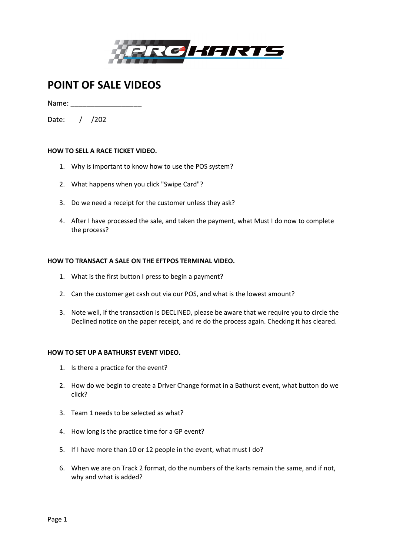

# **POINT OF SALE VIDEOS**

Name:

Date: / /202

## **HOW TO SELL A RACE TICKET VIDEO.**

- 1. Why is important to know how to use the POS system?
- 2. What happens when you click "Swipe Card"?
- 3. Do we need a receipt for the customer unless they ask?
- 4. After I have processed the sale, and taken the payment, what Must I do now to complete the process?

## **HOW TO TRANSACT A SALE ON THE EFTPOS TERMINAL VIDEO.**

- 1. What is the first button I press to begin a payment?
- 2. Can the customer get cash out via our POS, and what is the lowest amount?
- 3. Note well, if the transaction is DECLINED, please be aware that we require you to circle the Declined notice on the paper receipt, and re do the process again. Checking it has cleared.

## **HOW TO SET UP A BATHURST EVENT VIDEO.**

- 1. Is there a practice for the event?
- 2. How do we begin to create a Driver Change format in a Bathurst event, what button do we click?
- 3. Team 1 needs to be selected as what?
- 4. How long is the practice time for a GP event?
- 5. If I have more than 10 or 12 people in the event, what must I do?
- 6. When we are on Track 2 format, do the numbers of the karts remain the same, and if not, why and what is added?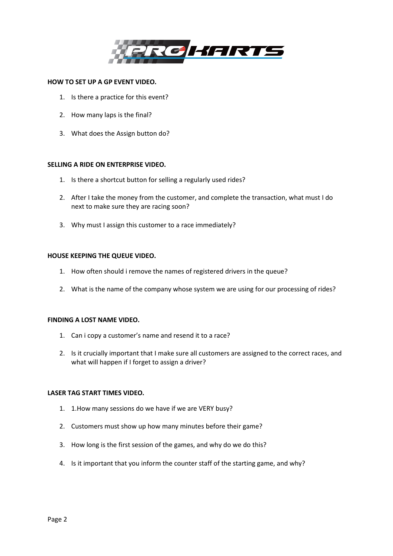

## **HOW TO SET UP A GP EVENT VIDEO.**

- 1. Is there a practice for this event?
- 2. How many laps is the final?
- 3. What does the Assign button do?

#### **SELLING A RIDE ON ENTERPRISE VIDEO.**

- 1. Is there a shortcut button for selling a regularly used rides?
- 2. After I take the money from the customer, and complete the transaction, what must I do next to make sure they are racing soon?
- 3. Why must I assign this customer to a race immediately?

## **HOUSE KEEPING THE QUEUE VIDEO.**

- 1. How often should i remove the names of registered drivers in the queue?
- 2. What is the name of the company whose system we are using for our processing of rides?

#### **FINDING A LOST NAME VIDEO.**

- 1. Can i copy a customer's name and resend it to a race?
- 2. Is it crucially important that I make sure all customers are assigned to the correct races, and what will happen if I forget to assign a driver?

#### **LASER TAG START TIMES VIDEO.**

- 1. 1.How many sessions do we have if we are VERY busy?
- 2. Customers must show up how many minutes before their game?
- 3. How long is the first session of the games, and why do we do this?
- 4. Is it important that you inform the counter staff of the starting game, and why?